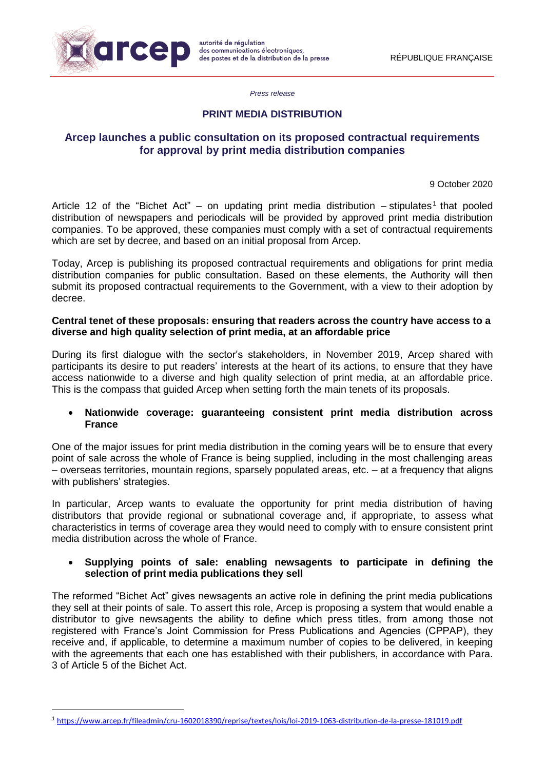

1

*Press release*

# **PRINT MEDIA DISTRIBUTION**

# **Arcep launches a public consultation on its proposed contractual requirements for approval by print media distribution companies**

9 October 2020

Article 12 of the "Bichet Act" – on updating print media distribution  $-$  stipulates<sup>1</sup> that pooled distribution of newspapers and periodicals will be provided by approved print media distribution companies. To be approved, these companies must comply with a set of contractual requirements which are set by decree, and based on an initial proposal from Arcep.

Today, Arcep is publishing its proposed contractual requirements and obligations for print media distribution companies for public consultation. Based on these elements, the Authority will then submit its proposed contractual requirements to the Government, with a view to their adoption by decree.

#### **Central tenet of these proposals: ensuring that readers across the country have access to a diverse and high quality selection of print media, at an affordable price**

During its first dialogue with the sector's stakeholders, in November 2019, Arcep shared with participants its desire to put readers' interests at the heart of its actions, to ensure that they have access nationwide to a diverse and high quality selection of print media, at an affordable price. This is the compass that guided Arcep when setting forth the main tenets of its proposals.

## • **Nationwide coverage: guaranteeing consistent print media distribution across France**

One of the major issues for print media distribution in the coming years will be to ensure that every point of sale across the whole of France is being supplied, including in the most challenging areas – overseas territories, mountain regions, sparsely populated areas, etc. – at a frequency that aligns with publishers' strategies.

In particular, Arcep wants to evaluate the opportunity for print media distribution of having distributors that provide regional or subnational coverage and, if appropriate, to assess what characteristics in terms of coverage area they would need to comply with to ensure consistent print media distribution across the whole of France.

#### • **Supplying points of sale: enabling newsagents to participate in defining the selection of print media publications they sell**

The reformed "Bichet Act" gives newsagents an active role in defining the print media publications they sell at their points of sale. To assert this role, Arcep is proposing a system that would enable a distributor to give newsagents the ability to define which press titles, from among those not registered with France's Joint Commission for Press Publications and Agencies (CPPAP), they receive and, if applicable, to determine a maximum number of copies to be delivered, in keeping with the agreements that each one has established with their publishers, in accordance with Para. 3 of Article 5 of the Bichet Act.

<sup>1</sup> <https://www.arcep.fr/fileadmin/cru-1602018390/reprise/textes/lois/loi-2019-1063-distribution-de-la-presse-181019.pdf>